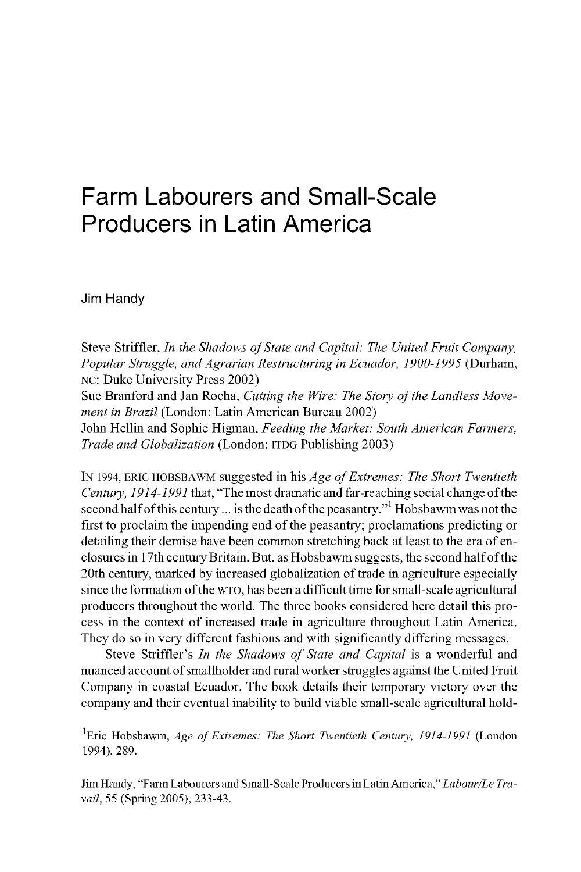# **Farm Labourers and Small-Scale** Producers in Latin America

Jim Handy

Steve Striffler, *In the Shadows of State and Capital: The United Fruit Company*, Popular Struggle, and Agrarian Restructuring in Ecuador, 1900-1995 (Durham, NC: Duke University Press 2002)

Sue Branford and Jan Rocha, *Cutting the Wire: The Story of the Landless Movement in Brazil* (London: Latin American Bureau 2002)

John Hellin and Sophie Higman, Feeding the Market: South American Farmers, *Trade and Globalization* (London: ITDG Publishing 2003)

IN 1994, ERIC HOBSBAWM suggested in his *Age of Extremes: The Short Twentieth Century, 1914-1991* that, "The most dramatic and far-reaching social change of the second half of this century ... is the death of the peasantry."<sup>1</sup> Hobsbawm was not the first to proclaim the impending end of the peasantry; proclamations predicting or detailing their demise have been common stretching back at least to the era of enclosures in 17th century Britain. But, as Hobsbawm suggests, the second half of the 20th century, marked by increased globalization of trade in agriculture especially since the formation of the WTO, has been a difficult time for small-scale agricultural producers throughout the world. The three books considered here detail this process in the context of increased trade in agriculture throughout Latin America. They do so in very different fashions and with significantly differing messages.

Steve Striffler's *In the Shadows of State and Capital* is a wonderful and nuanced account of small holder and rural worker struggles against the United Fruit Company in coastal Ecuador. The book details their temporary victory over the company and their eventual inability to build viable small-scale agricultural hold-

<sup>1</sup>Eric Hobsbawm, *Age of Extremes: The Short Twentieth Century, 1914-1991* (London 1994), 289.

Jim Handy, "Farm Labourers and Small-Scale Producers in Latin America," Labour/Le Tra*vail*, 55 (Spring 2005), 233-43.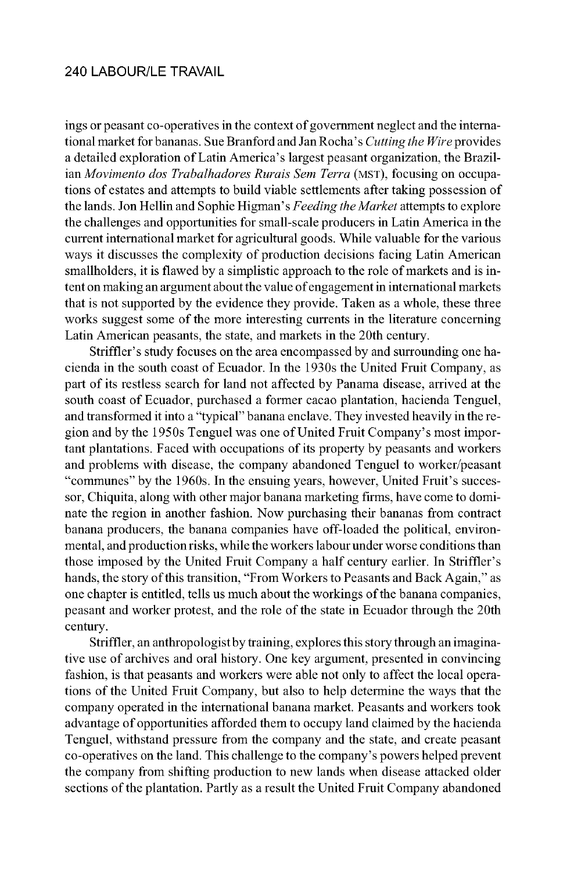ings or peasant co-operatives in the context of government neglect and the international market for bananas. Sue Branford and Jan Rocha's *Cutting the Wire* provides a detailed exploration of Latin America's largest peasant organization, the Brazilian *Movimento dos Trabalhadores Rurais Sem Terra* (MST), focusing on occupations of estates and attempts to build viable settlements after taking possession of the lands. Jon Hellin and Sophie Higman's Feeding the Market attempts to explore the challenges and opportunities for small-scale producers in Latin America in the current international market for agricultural goods. While valuable for the various ways it discusses the complexity of production decisions facing Latin American smallholders, it is flawed by a simplistic approach to the role of markets and is intent on making an argument about the value of engagement in international markets that is not supported by the evidence they provide. Taken as a whole, these three works suggest some of the more interesting currents in the literature concerning Latin American peasants, the state, and markets in the 20th century.

Striffler's study focuses on the area encompassed by and surrounding one hacienda in the south coast of Ecuador. In the 1930s the United Fruit Company, as part of its restless search for land not affected by Panama disease, arrived at the south coast of Ecuador, purchased a former cacao plantation, hacienda Tenguel, and transformed it into a "typical" banana enclave. They invested heavily in the region and by the 1950s Tenguel was one of United Fruit Company's most important plantations. Faced with occupations of its property by peasants and workers and problems with disease, the company abandoned Tenguel to worker/peasant "communes" by the 1960s. In the ensuing years, however, United Fruit's successor, Chiquita, along with other major banana marketing firms, have come to dominate the region in another fashion. Now purchasing their bananas from contract banana producers, the banana companies have off-loaded the political, environmental, and production risks, while the workers labour under worse conditions than those imposed by the United Fruit Company a half century earlier. In Striffler's hands, the story of this transition, "From Workers to Peasants and Back Again," as one chapter is entitled, tells us much about the workings of the banana companies, peasant and worker protest, and the role of the state in Ecuador through the 20th century.

Striffler, an anthropologist by training, explores this story through an imaginative use of archives and oral history. One key argument, presented in convincing fashion, is that peasants and workers were able not only to affect the local operations of the United Fruit Company, but also to help determine the ways that the company operated in the international banana market. Peasants and workers took advantage of opportunities afforded them to occupy land claimed by the hacienda Tenguel, with stand pressure from the company and the state, and create peasant co-operatives on the land. This challenge to the company's powers helped prevent the company from shifting production to new lands when disease attacked older sections of the plantation. Partly as a result the United Fruit Company abandoned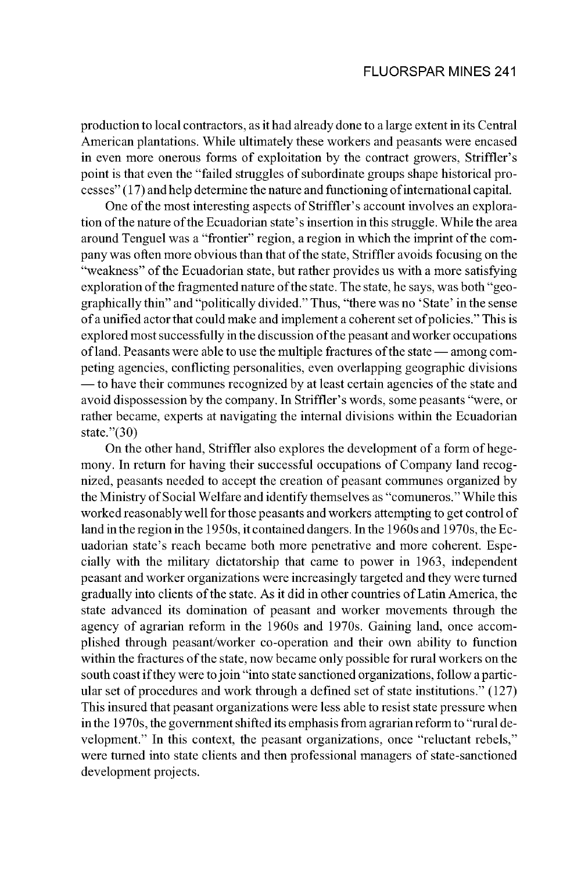production to local contractors, as it had already done to a large extent in its Central American plantations. While ultimately these workers and peasants were encased in even more onerous forms of exploitation by the contract growers, Striffler's point is that even the "failed struggles of subordinate groups shape historical pro $c$ esses" (17) and help de termine the nature and functioning of international capital.

One of the most interesting aspects of Striffler's account involves an exploration of the nature of the Ecuadorian state's insertion in this struggle. While the area around Tenguel was a "frontier" region, a region in which the imprint of the company was often more obvious than that of the state, Striffler avoids focusing on the "weakness" of the Ecuadorian state, but rather provides us with a more satisfying exploration of the fragmented nature of the state. The state, he says, was both "geographically thin" and "politically divided." Thus, "there was no 'State' in the sense of a unified actor that could make and implement a coherent set of policies." This is explored most successfully in the discussion of the peasant and worker occupations of land. Peasants were able to use the multiple fractures of the state — among competing agencies, conflicting personalities, even overlapping geographic divisions — to have their communes recognized by at least certain agencies of the state and avoid dispossession by the company. In Striffler's words, some peasants "were, or rather became, experts at navigating the internal divisions within the Ecuadorian state."(30)

On the other hand, Striffler also explores the development of a form of hegemony. In return for having their successful occupations of Company land recognized, peasants needed to accept the creation of peasant communes organized by the Ministry of Social Welfare and identify themselves as "comuneros." While this worked reasonably well for those peasants and workers attempting to get control of land in the region in the 1950s, it contained dangers. In the 1960s and 1970s, the Ecuadorian state's reach became both more penetrative and more coherent. Especially with the military dictatorship that came to power in 1963, independent peasant and worker organizations were increasingly targeted and they were turned gradually into clients of the state. As it did in other countries of Latin America, the state advanced its domination of peasant and worker movements through the agency of agrarian reform in the 1960s and 1970s. Gaining land, once accomplished through peasant/worker co-operation and their own ability to function within the fractures of the state, now became only possible for rural workers on the south coast if they were to join "into state sanctioned organizations, follow a particular set of procedures and work through a defined set of state institutions."  $(127)$ This insured that peasant organizations were less able to resist state pressure when in the 1970s, the government shifted its emphasis from agrarian reform to "rural development." In this context, the peasant organizations, once "reluctant rebels," were turned into state clients and then professional managers of state-sanctioned development projects.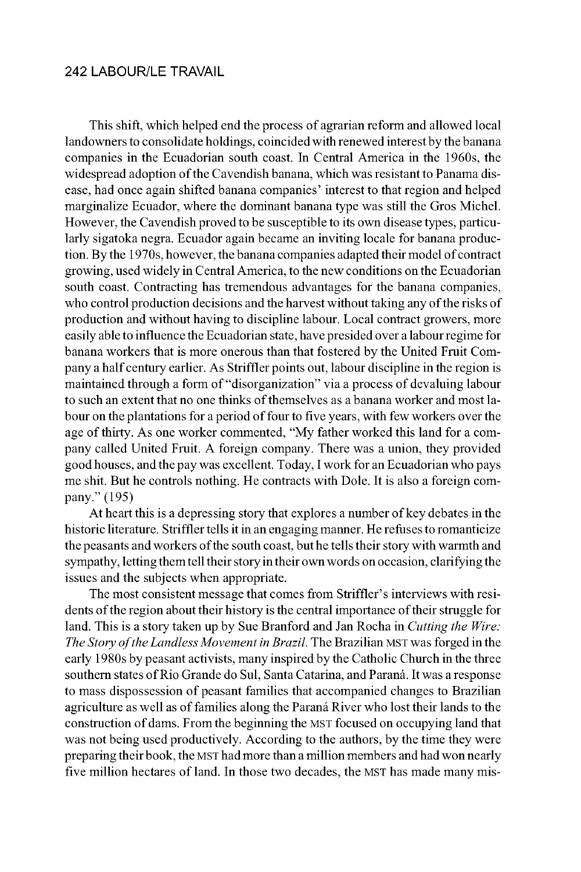This shift, which helped end the process of agrarian reform and allowed local landowners to consolidate holdings, coincided with renewed interest by the banana companies in the Ecuadorian south coast. In Central America in the 1960s, the widespread adoption of the Cavendish banana, which was resistant to Panama disease, had once again shifted banana companies' interest to that region and helped marginalize Ecuador, where the dominant banana type was still the Gros Michel. However, the Cavendish proved to be susceptible to its own disease types, particularly sigatoka negra. Ecuador again became an inviting locale for banana production. By the 1970s, however, the banana companies adapted their model of contract growing, used widely in Central America, to the new conditions on the Ecuadorian south coast. Contracting has tremendous advantages for the banana companies, who control production decisions and the harvest without taking any of the risks of production and without having to discipline labour. Local contract growers, more easily able to influence the Ecuadorian state, have presided over a labour regime for banana workers that is more onerous than that fostered by the United Fruit Company a half century earlier. As Striffler points out, labour discipline in the region is maintained through a form of "disorganization" via a process of devaluing labour to such an extent that no one thinks of themselves as a banana worker and most labour on the plantations for a period of four to five years, with few workers over the age of thirty. As one worker commented, "My father worked this land for a company called United Fruit. A foreign company. There was a union, they provided good houses, and the pay was excellent. Today, I work for an Ecuadorian who pays me shit. But he controls nothing. He contracts with Dole. It is also a foreign company." (195)

At heart this is a depressing story that explores a number of key debates in the historic literature. Striffler tells it in an engaging manner. He refuses to romanticize the peasants and workers of the south coast, but he tells their story with warmth and sympathy, letting them tell their story in their own words on occasion, clarifying the issues and the subjects when appropriate.

The most consistent message that comes from Striffler's interviews with residents of the region about their history is the central importance of their struggle for land. This is a story taken up by Sue Branford and Jan Rocha in *Cut ting the Wire: The Story of the Landless Movement in Brazil*. The Brazilian MST was forged in the early 1980s by peasant activists, many inspired by the Catholic Church in the three southern states of Rio Grande do Sul, Santa Catarina, and Paraná. It was a response to mass dispossession of peasant families that accompanied changes to Brazilian agriculture as well as of families along the Paraná River who lost their lands to the construction of dams. From the beginning the MST focused on occupying land that was not being used productively. According to the authors, by the time they were preparing their book, the MST had more than a million members and had won nearly five million hectares of land. In those two decades, the MST has made many mis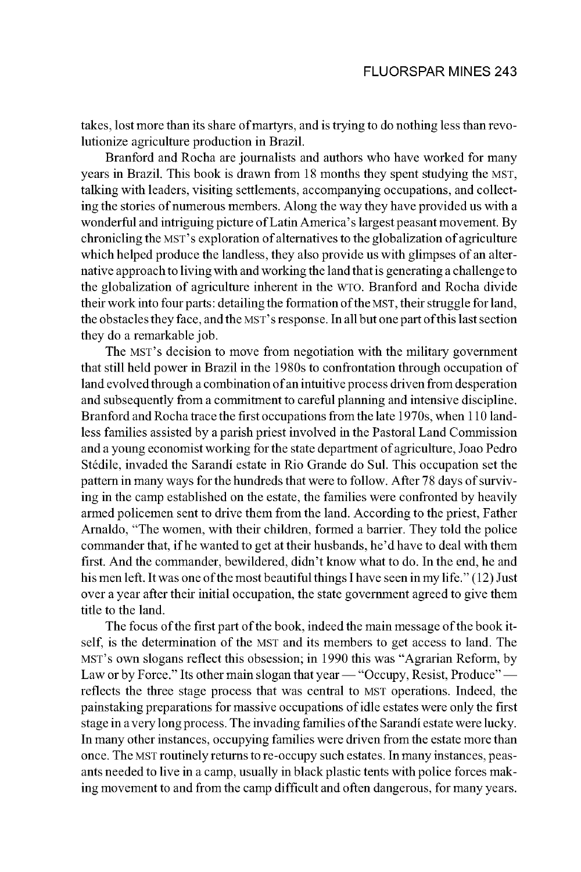takes, lost more than its share of martyrs, and is trying to do nothing less than revolutionize agriculture production in Brazil.

Branford and Rocha are journalists and authors who have worked for many years in Brazil. This book is drawn from 18 months they spent studying the MST, talking with leaders, visiting settlements, accompanying occupations, and collecting the stories of numerous members. Along the way they have provided us with a wonderful and intriguing picture of Latin America's largest peasant movement. By chronicling the MST's exploration of alternatives to the globalization of agriculture which helped produce the land less, they also provide us with glimpses of an alternative approach to living with and working the land that is generating a challenge to the globalization of agriculture inherent in the WTO. Branford and Rocha divide their work into four parts: detailing the formation of the MST, their struggle for land, the obstacles they face, and the MST's response. In all but one part of this last section they do a remarkable job.

The MST's decision to move from negotiation with the military government that still held power in Brazil in the 1980s to confrontation through occupation of land evolved through a combination of an intuitive process driven from desperation and subsequently from a commitment to careful planning and intensive discipline. Branford and Rocha trace the first occupations from the late 1970s, when 110 landless families assisted by a parish priest involved in the Pastoral Land Commission and a young economist working for the state department of agriculture, Joao Pedro Stédile, invaded the Sarandí estate in Rio Grande do Sul. This occupation set the pattern in many ways for the hundreds that were to follow. After 78 days of surviving in the camp established on the estate, the families were confronted by heavily armed policemen sent to drive them from the land. According to the priest, Father Arnaldo, "The women, with their children, formed a barrier. They told the police commander that, if he wanted to get at their husbands, he'd have to deal with them first. And the commander, bewildered, didn't know what to do. In the end, he and his men left. It was one of the most beautiful things I have seen in my life."  $(12)$  Just over a year after their initial occupation, the state government agreed to give them title to the land.

The focus of the first part of the book, indeed the main message of the book itself, is the determination of the MST and its members to get access to land. The MST's own slogans reflect this obsession; in 1990 this was "Agrarian Reform, by Law or by Force." Its other main slogan that year — "Occupy, Resist, Produce" reflects the three stage process that was central to MST operations. Indeed, the painstaking preparations for massive occupations of idle estates were only the first stage in a very long process. The invading families of the Sarandí estate were lucky. In many other instances, occupying families were driven from the estate more than once. The MST routinely returns to re-occupy such estates. In many instances, peasants needed to live in a camp, usually in black plastic tents with police forces making movement to and from the camp difficult and often dangerous, for many years.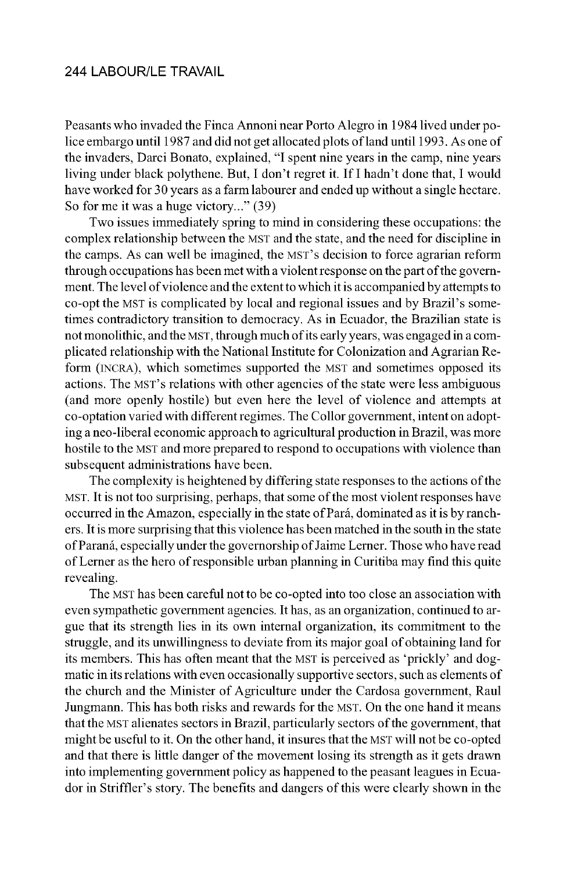Peasants who invaded the Finca Annoni near Porto Alegro in 1984 lived under police embargo until 1987 and did not get allocated plots of land until 1993. As one of the invaders, Darci Bonato, explained, "I spent nine years in the camp, nine years living under black polythene. But, I don't regret it. If I hadn't done that, I would have worked for 30 years as a farm labourer and ended up without a single hectare. So for me it was a huge victory..." (39)

Two issues immediately spring to mind in considering these occupations: the complex relationship between the MST and the state, and the need for discipline in the camps. As can well be imagined, the MST's decision to force agrarian reform through occupations has been met with a violent response on the part of the government. The level of violence and the extent to which it is accompanied by attempts to co-opt the MST is complicated by local and regional issues and by Brazil's sometimes contradictory transition to democracy. As in Ecuador, the Brazilian state is not monolithic, and the MST, through much of its early years, was engaged in a complicated relationship with the National Institute for Colonization and Agrarian Reform (INCRA), which sometimes supported the MST and sometimes opposed its actions. The MST's relations with other agencies of the state were less ambiguous (and more openly hostile) but even here the level of violence and attempts at co-optation varied with different regimes. The Collor government, intent on adopting a neo-liberal economic approach to agricultural production in Brazil, was more hostile to the MST and more prepared to respond to occupations with violence than subsequent administrations have been.

The complexity is heightened by differing state responses to the actions of the MST. It is not too surprising, perhaps, that some of the most violent responses have occurred in the Amazon, especially in the state of Pará, dominated as it is by ranchers. It is more surprising that this violence has been matched in the south in the state of Paraná, es pe cially un der the gov er nor ship of Jaime Lerner. Those who have read of Lerner as the hero of responsible urban planning in Curitiba may find this quite revealing.

The MST has been careful not to be co-opted into too close an association with even sympathetic government agencies. It has, as an organization, continued to argue that its strength lies in its own internal organization, its commitment to the struggle, and its unwillingness to deviate from its major goal of obtaining land for its members. This has often meant that the MST is perceived as 'prickly' and dogmatic in its relations with even occasionally supportive sectors, such as elements of the church and the Minister of Agriculture under the Cardosa government, Raul Jungmann. This has both risks and rewards for the MST. On the one hand it means that the MST alienates sectors in Brazil, particularly sectors of the government, that might be useful to it. On the other hand, it insures that the MST will not be co-opted and that there is little danger of the movement losing its strength as it gets drawn into implementing government policy as happened to the peasant leagues in Ecuador in Striffler's story. The benefits and dangers of this were clearly shown in the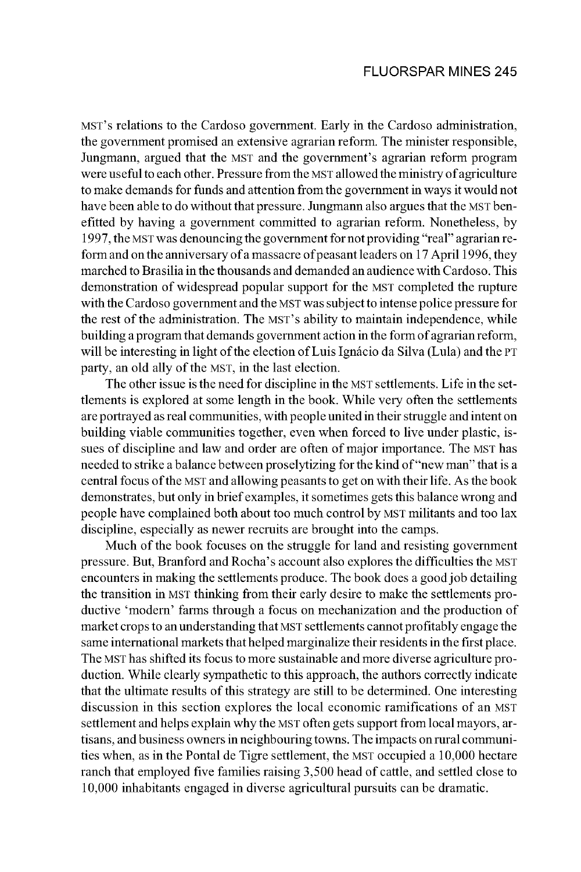MST's relations to the Cardoso government. Early in the Cardoso administration, the government promised an extensive agrarian reform. The minister responsible, Jungmann, argued that the MST and the government's agrarian reform program were useful to each other. Pressure from the MST allowed the ministry of agriculture to make demands for funds and attention from the government in ways it would not have been able to do without that pressure. Jungmann also argues that the MST benefitted by having a government committed to agrarian reform. Nonetheless, by 1997, the MST was denouncing the government for not providing "real" agrarian reform and on the anniversary of a massacre of peasant leaders on 17 April 1996, they marched to Brasilia in the thousands and demanded an audience with Cardoso. This demonstration of widespread popular support for the MST completed the rupture with the Cardoso government and the MST was subject to intense police pressure for the rest of the administration. The MST's ability to maintain independence, while building a program that demands government action in the form of agrarian reform, will be interesting in light of the election of Luis Ignácio da Silva (Lula) and the PT party, an old ally of the MST, in the last election.

The other issue is the need for discipline in the MST settlements. Life in the settlements is explored at some length in the book. While very often the settlements are portrayed as real communities, with people united in their struggle and intent on building viable communities together, even when forced to live under plastic, issues of discipline and law and order are often of major importance. The MST has needed to strike a balance between prosely tizing for the kind of "new man" that is a central focus of the MST and allowing peasants to get on with their life. As the book demonstrates, but only in brief examples, it sometimes gets this balance wrong and people have complained both about too much control by MST militants and too lax discipline, especially as newer recruits are brought into the camps.

Much of the book focuses on the struggle for land and resisting government pressure. But, Branford and Rocha's account also explores the difficulties the MST encounters in making the settlements produce. The book does a good job detailing the transition in MST thinking from their early desire to make the settlements productive 'modern' farms through a focus on mechanization and the production of market crops to an understanding that MST settlements cannot profitably engage the same international markets that helped marginalize their residents in the first place. The MST has shifted its focus to more sustainable and more diverse agriculture production. While clearly sympathetic to this approach, the authors correctly indicate that the ultimate results of this strategy are still to be determined. One interesting discussion in this section explores the local economic ramifications of an MST settlement and helps explain why the MST often gets support from local mayors, artisans, and business owners in neighbouring towns. The impacts on rural communities when, as in the Pontal de Tigre settlement, the MST occupied a 10,000 hectare ranch that employed five families raising 3,500 head of cattle, and settled close to 10,000 inhabitants engaged in diverse agricultural pursuits can be dramatic.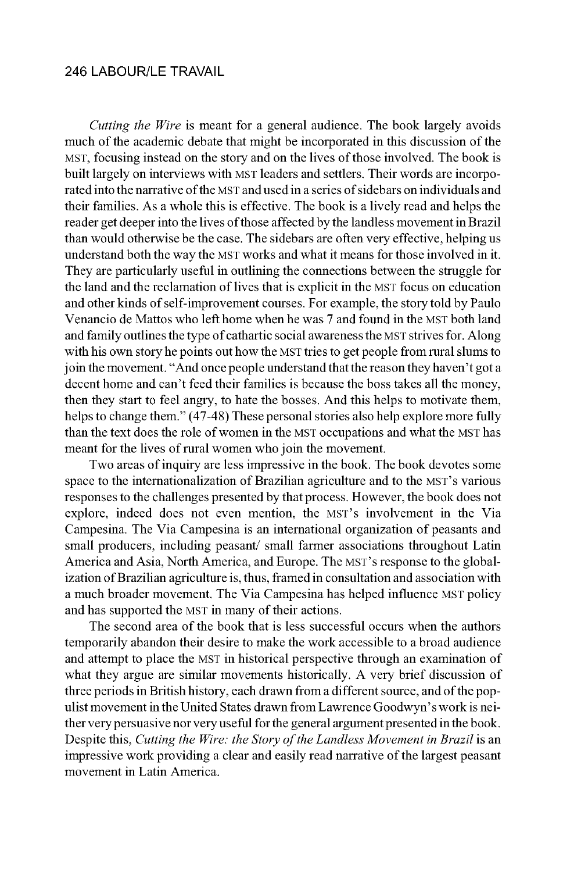*Cutting the Wire* is meant for a general audience. The book largely avoids much of the academic debate that might be incorporated in this discussion of the MST, focusing instead on the story and on the lives of those involved. The book is built largely on interviews with MST leaders and settlers. Their words are incorporated into the narrative of the MST and used in a series of sidebars on individuals and their families. As a whole this is effective. The book is a lively read and helps the reader get deeper into the lives of those affected by the landless movement in Brazil than would otherwise be the case. The sidebars are often very effective, helping us understand both the way the MST works and what it means for those involved in it. They are particularly useful in outlining the connections between the struggle for the land and the reclamation of lives that is explicit in the MST focus on education and other kinds of self-improvement courses. For example, the story told by Paulo Venancio de Mattos who left home when he was 7 and found in the MST both land and family outlines the type of cathartic social aware ness the MST strives for. Along with his own story he points out how the MST tries to get people from rural slums to join the movement. "And once people understand that the reason they haven't got a decent home and can't feed their families is because the boss takes all the money, then they start to feel angry, to hate the bosses. And this helps to motivate them, helps to change them." (47-48) These personal stories also help explore more fully than the text does the role of women in the MST occupations and what the MST has meant for the lives of rural women who join the movement.

Two areas of inquiry are less impressive in the book. The book devotes some space to the internationalization of Brazilian agriculture and to the MST's various responses to the challenges presented by that process. However, the book does not explore, indeed does not even mention, the MST's involvement in the Via Campesina. The Via Campesina is an international organization of peasants and small producers, including peasant/ small farmer associations throughout Latin America and Asia, North America, and Europe. The MST's response to the globalization of Brazilian agriculture is, thus, framed in consultation and association with a much broader movement. The Via Campesina has helped influence MST policy and has supported the MST in many of their actions.

The second area of the book that is less successful occurs when the authors tem porarily abandon their desire to make the work accessible to a broad audience and attempt to place the MST in historical perspective through an examination of what they argue are similar movements historically. A very brief discussion of three periods in British history, each drawn from a different source, and of the populist movement in the United States drawn from Lawrence Goodwyn's work is neither very persuasive nor very useful for the general argument presented in the book. Despite this, *Cutting the Wire: the Story of the Landless Movement in Brazil* is an im pressive work providing a clear and easily read narrative of the largest peasant movement in Latin America.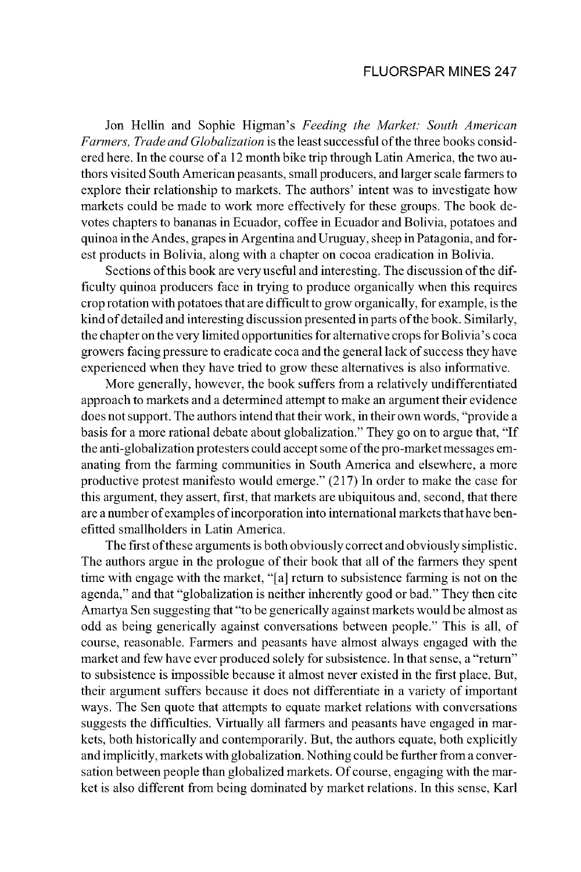#### FLUORSPAR MINES 247

Jon Hellin and Sophie Higman's Feeding the Market: South American *Farmers, Trade and Globalization* is the least successful of the three books considered here. In the course of a 12 month bike trip through Latin America, the two authors visited South American peasants, small producers, and larger scale farmers to explore their relationship to markets. The authors' intent was to investigate how markets could be made to work more effectively for these groups. The book devotes chapters to bananas in Ecuador, coffee in Ecuador and Bolivia, potatoes and quinoa in the Andes, grapes in Argentina and Uruguay, sheep in Patagonia, and forest products in Bolivia, along with a chapter on cocoa eradication in Bolivia.

Sections of this book are very useful and interesting. The discussion of the difficulty quinoa producers face in trying to produce organically when this requires crop rotation with potatoes that are difficult to grow organically, for example, is the kind of detailed and interesting discussion presented in parts of the book. Similarly, the chapter on the very limited opportunities for alternative crops for Bolivia's coca growers facing pressure to eradicate coca and the general lack of success they have experienced when they have tried to grow these alternatives is also informative.

More generally, however, the book suffers from a relatively undifferentiated approach to markets and a determined attempt to make an argument their evidence does not support. The authors intend that their work, in their own words, "provide a basis for a more rational debate about globalization." They go on to argue that, "If the anti-globalization protesters could accept some of the pro-market messages emanating from the farming communities in South America and elsewhere, a more productive protest manifesto would emerge."  $(217)$  In order to make the case for this argument, they assert, first, that markets are ubiquitous and, second, that there are a number of examples of incorporation into international markets that have benefitted smallholders in Latin America.

The first of these arguments is both obviously correct and obviously simplistic. The authors argue in the prologue of their book that all of the farmers they spent time with engage with the market, "[a] return to subsistence farming is not on the agenda," and that "globalization is neither inherently good or bad." They then cite Amartya Sen suggesting that "to be generically against markets would be almost as odd as being generically against conversations between people." This is all, of course, reasonable. Farmers and peasants have almost always engaged with the market and few have ever produced solely for subsistence. In that sense, a "return" to subsistence is impossible because it almost never existed in the first place. But, their argument suffers because it does not differentiate in a variety of important ways. The Sen quote that attempts to equate market relations with conversations suggests the difficulties. Virtually all farmers and peasants have engaged in markets, both historically and contemporarily. But, the authors equate, both explicitly and implicitly, markets with globalization. Nothing could be further from a conversation between people than globalized markets. Of course, engaging with the market is also different from being dominated by market relations. In this sense, Karl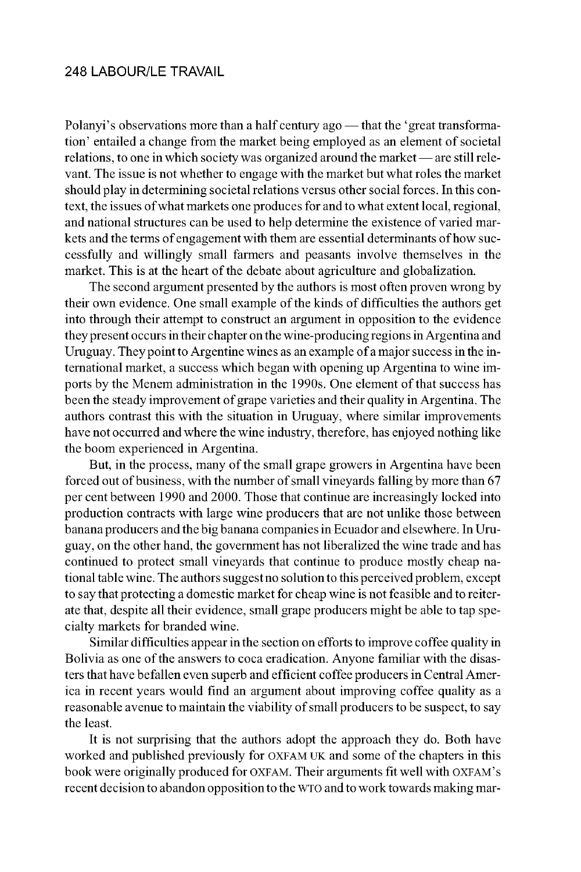Polanyi's observations more than a half century ago — that the 'great transformation' entailed a change from the market being employed as an element of societal relations, to one in which society was organized around the market — are still relevant. The issue is not whether to engage with the market but what roles the market should play in determining societal relations versus other social forces. In this context, the issues of what markets one produces for and to what extent local, regional, and national structures can be used to help determine the existence of varied markets and the terms of engagement with them are essential determinants of how success fully and willingly small farmers and peasants involve themselves in the market. This is at the heart of the debate about agriculture and globalization.

The second argument presented by the authors is most often proven wrong by their own evidence. One small example of the kinds of difficulties the authors get into through their attempt to construct an argument in opposition to the evidence they present occurs in their chapter on the wine-producing regions in Argentina and Uruguay. They point to Argentine wines as an example of a major success in the international market, a success which began with opening up Argentina to wine imports by the Menem administration in the 1990s. One element of that success has been the steady improvement of grape varieties and their quality in Argentina. The authors contrast this with the situation in Uruguay, where similar improvements have not occurred and where the wine industry, therefore, has enjoyed nothing like the boom experienced in Argentina.

But, in the process, many of the small grape growers in Argentina have been forced out of business, with the number of small vineyards falling by more than 67 per cent between 1990 and 2000. Those that continue are increasingly locked into production contracts with large wine producers that are not unlike those between banana producers and the big banana companies in Ecuador and elsewhere. In Uruguay, on the other hand, the government has not liberalized the wine trade and has continued to protect small vineyards that continue to produce mostly cheap national table wine. The authors suggest no solution to this perceived problem, except to say that protecting a domestic market for cheap wine is not feasible and to reiterate that, despite all their evidence, small grape producers might be able to tap specialty markets for branded wine.

Similar difficulties appear in the section on efforts to improve coffee quality in Bolivia as one of the answers to coca eradication. Any one familiar with the disasters that have be fallen even superb and efficient coffee producers in Central America in recent years would find an argument about improving coffee quality as a reasonable avenue to maintain the viability of small producers to be suspect, to say the least.

It is not surprising that the authors adopt the approach they do. Both have worked and published previously for OXFAM UK and some of the chapters in this book were originally produced for OXFAM. Their arguments fit well with OXFAM's recent decision to abandon opposition to the WTO and to work towards making mar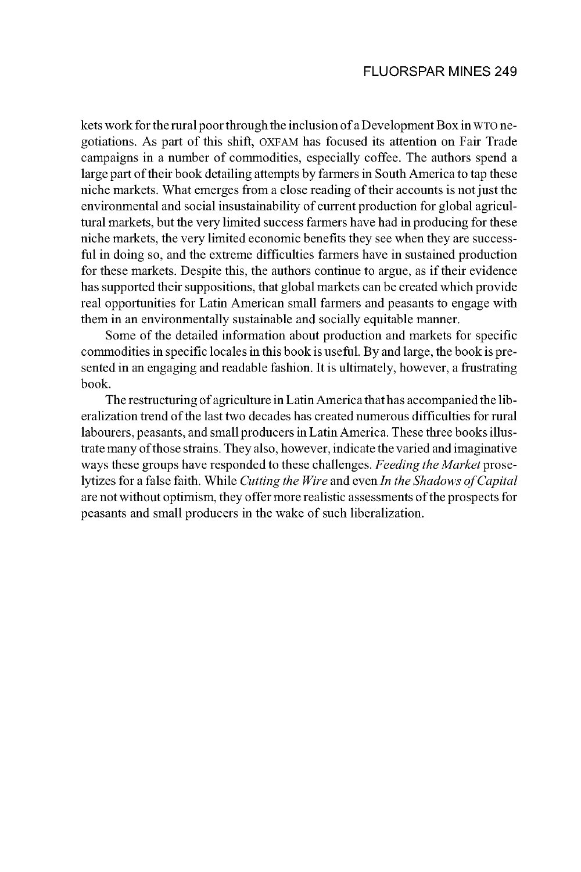kets work for the rural poor through the inclusion of a Development Box in WTO negotiations. As part of this shift, OXFAM has focused its attention on Fair Trade campaigns in a number of commodities, especially coffee. The authors spend a large part of their book detailing attempts by farmers in South America to tap these niche markets. What emerges from a close reading of their accounts is not just the en vironmental and social insustainability of current production for global agricultural markets, but the very limited success farmers have had in producing for these niche markets, the very limited economic benefits they see when they are successful in doing so, and the extreme difficulties farmers have in sustained production for these markets. Despite this, the authors continue to argue, as if their evidence has supported their suppositions, that global markets can be created which provide real opportunities for Latin American small farmers and peasants to engage with them in an environmentally sustainable and socially equitable manner.

Some of the detailed information about production and markets for specific commodities in specific locales in this book is useful. By and large, the book is presented in an engaging and readable fashion. It is ultimately, however, a frustrating book.

The restructuring of agriculture in Latin America that has accompanied the liber alization trend of the last two decades has created numerous difficulties for rural labourers, peasants, and small producers in Latin America. These three books illustrate many of those strains. They also, however, indicate the varied and imaginative ways these groups have responded to these challenges. *Feeding the Market* proselytizes for a false faith. While *Cutting the Wire* and even *In the Shadows of Capital* are not without optimism, they offer more realistic assessments of the prospects for peasants and small producers in the wake of such liberalization.